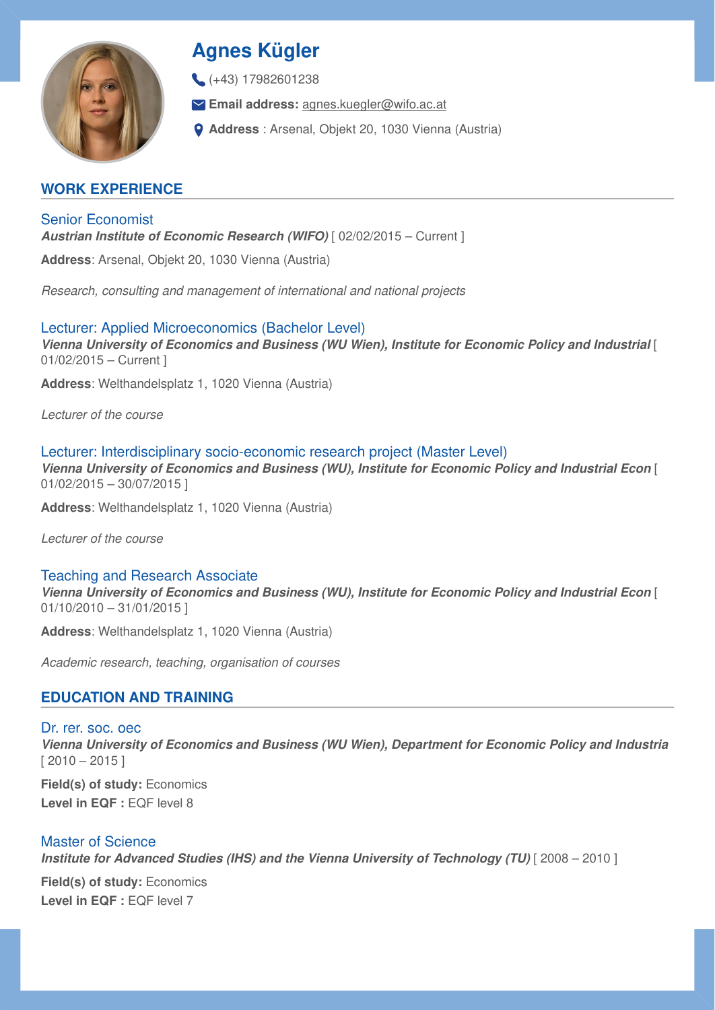

# **Agnes Kügler**

 $(+43)$  17982601238

**Email address:** [agnes.kuegler@wifo.ac.at](mailto:agnes.kuegler@wifo.ac.at)

**Address** : Arsenal, Objekt 20, 1030 Vienna (Austria)

# **WORK EXPERIENCE**

Senior Economist *Austrian Institute of Economic Research (WIFO)* [ 02/02/2015 – Current ]

**Address**: Arsenal, Objekt 20, 1030 Vienna (Austria)

*Research, consulting and management of international and national projects*

Lecturer: Applied Microeconomics (Bachelor Level) *Vienna University of Economics and Business (WU Wien), Institute for Economic Policy and Industrial* [ 01/02/2015 – Current ]

**Address**: Welthandelsplatz 1, 1020 Vienna (Austria)

*Lecturer of the course*

Lecturer: Interdisciplinary socio-economic research project (Master Level) *Vienna University of Economics and Business (WU), Institute for Economic Policy and Industrial Econ* [ 01/02/2015 – 30/07/2015 ]

**Address**: Welthandelsplatz 1, 1020 Vienna (Austria)

*Lecturer of the course*

Teaching and Research Associate

*Vienna University of Economics and Business (WU), Institute for Economic Policy and Industrial Econ* [ 01/10/2010 – 31/01/2015 ]

**Address**: Welthandelsplatz 1, 1020 Vienna (Austria)

*Academic research, teaching, organisation of courses*

# **EDUCATION AND TRAINING**

Dr. rer. soc. oec *Vienna University of Economics and Business (WU Wien), Department for Economic Policy and Industria*  $[2010 - 2015]$ 

**Field(s) of study:** Economics Level in EQF : **EQF** level 8

Master of Science *Institute for Advanced Studies (IHS) and the Vienna University of Technology (TU)* [ 2008 – 2010 ]

**Field(s) of study:** Economics Level in EQF : EQF level 7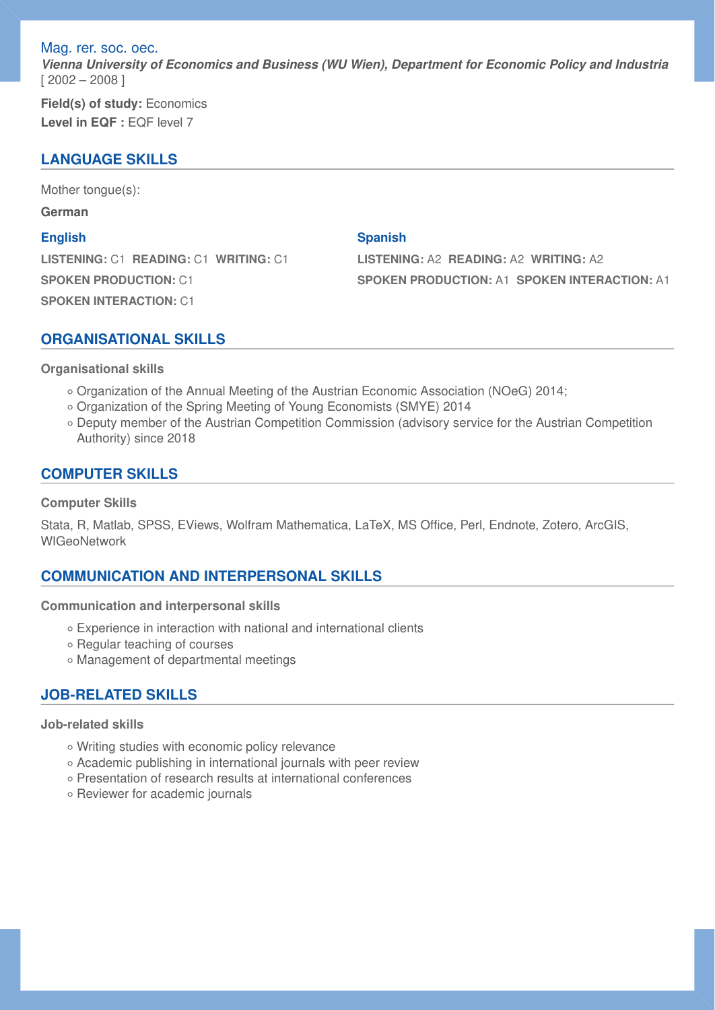Mag. rer. soc. oec.

*Vienna University of Economics and Business (WU Wien), Department for Economic Policy and Industria* [ 2002 – 2008 ]

**Field(s) of study:** Economics **Level in EQF :** EQF level 7

# **LANGUAGE SKILLS**

Mother tongue(s):

**German**

#### **English**

**LISTENING:** C1 **READING:** C1 **WRITING:** C1 **SPOKEN PRODUCTION:** C1 **SPOKEN INTERACTION:** C1

#### **Spanish**

**LISTENING:** A2 **READING:** A2 **WRITING:** A2 **SPOKEN PRODUCTION:** A1 **SPOKEN INTERACTION:** A1

### **ORGANISATIONAL SKILLS**

**Organisational skills** 

- Organization of the Annual Meeting of the Austrian Economic Association (NOeG) 2014;
- Organization of the Spring Meeting of Young Economists (SMYE) 2014
- Deputy member of the Austrian Competition Commission (advisory service for the Austrian Competition Authority) since 2018

### **COMPUTER SKILLS**

#### **Computer Skills**

Stata, R, Matlab, SPSS, EViews, Wolfram Mathematica, LaTeX, MS Office, Perl, Endnote, Zotero, ArcGIS, **WIGeoNetwork** 

## **COMMUNICATION AND INTERPERSONAL SKILLS**

**Communication and interpersonal skills** 

- Experience in interaction with national and international clients ◦
- Regular teaching of courses
- Management of departmental meetings ◦

## **JOB-RELATED SKILLS**

#### **Job-related skills**

- Writing studies with economic policy relevance ◦
- Academic publishing in international journals with peer review ◦
- Presentation of research results at international conferences ◦
- Reviewer for academic journals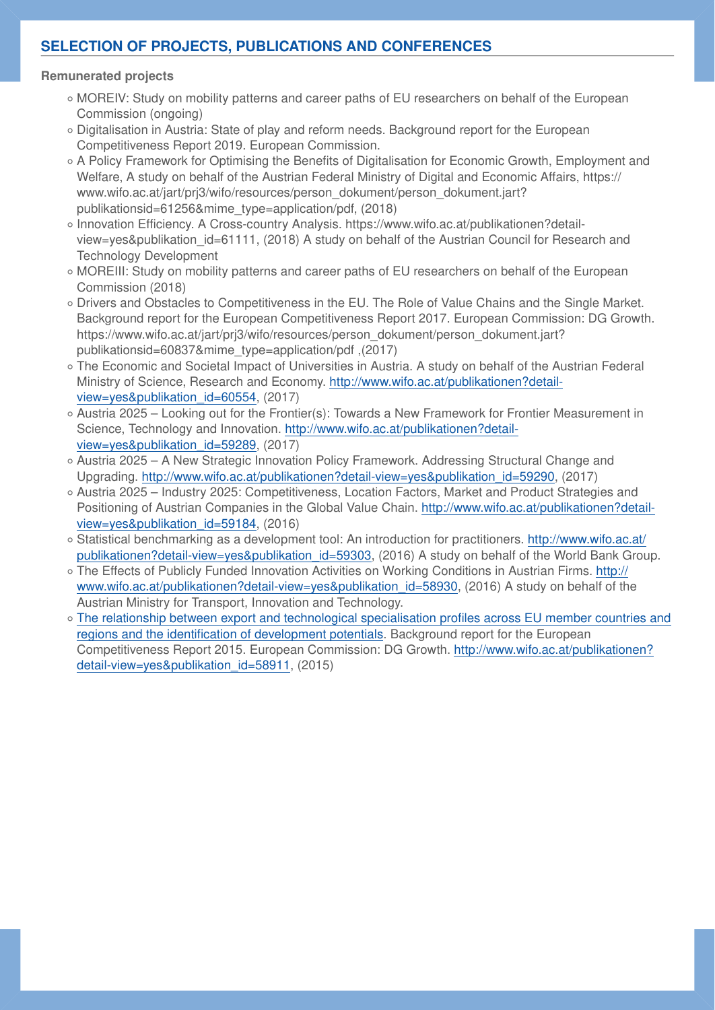# **SELECTION OF PROJECTS, PUBLICATIONS AND CONFERENCES**

#### **Remunerated projects**

- MOREIV: Study on mobility patterns and career paths of EU researchers on behalf of the European Commission (ongoing)
- Digitalisation in Austria: State of play and reform needs. Background report for the European Competitiveness Report 2019. European Commission.
- A Policy Framework for Optimising the Benefits of Digitalisation for Economic Growth, Employment and Welfare, A study on behalf of the Austrian Federal Ministry of Digital and Economic Affairs, https:// www.wifo.ac.at/jart/prj3/wifo/resources/person\_dokument/person\_dokument.jart? publikationsid=61256&mime\_type=application/pdf, (2018)
- Innovation Efficiency. A Cross-country Analysis. https://www.wifo.ac.at/publikationen?detail-◦ view=yes&publikation id=61111, (2018) A study on behalf of the Austrian Council for Research and Technology Development
- MOREIII: Study on mobility patterns and career paths of EU researchers on behalf of the European Commission (2018)
- Drivers and Obstacles to Competitiveness in the EU. The Role of Value Chains and the Single Market. Background report for the European Competitiveness Report 2017. European Commission: DG Growth. https://www.wifo.ac.at/jart/prj3/wifo/resources/person\_dokument/person\_dokument.jart? publikationsid=60837&mime\_type=application/pdf ,(2017)
- The Economic and Societal Impact of Universities in Austria. A study on behalf of the Austrian Federal Ministry of Science, Research and Economy. [http://www.wifo.ac.at/publikationen?detail](http://www.wifo.ac.at/publikationen?detail-view=yes&publikation_id=60554)[view=yes&publikation\\_id=60554](http://www.wifo.ac.at/publikationen?detail-view=yes&publikation_id=60554), (2017)
- ∘ Austria 2025 Looking out for the Frontier(s): Towards a New Framework for Frontier Measurement in Science, Technology and Innovation. [http://www.wifo.ac.at/publikationen?detail](http://www.wifo.ac.at/publikationen?detail-view=yes&publikation_id=59289)[view=yes&publikation\\_id=59289](http://www.wifo.ac.at/publikationen?detail-view=yes&publikation_id=59289), (2017)
- Austria 2025 A New Strategic Innovation Policy Framework. Addressing Structural Change and Upgrading. [http://www.wifo.ac.at/publikationen?detail-view=yes&publikation\\_id=59290,](http://www.wifo.ac.at/publikationen?detail-view=yes&publikation_id=59290) (2017)
- Austria 2025 Industry 2025: Competitiveness, Location Factors, Market and Product Strategies and Positioning of Austrian Companies in the Global Value Chain. [http://www.wifo.ac.at/publikationen?detail](http://www.wifo.ac.at/publikationen?detail-view=yes&publikation_id=59184)[view=yes&publikation\\_id=59184](http://www.wifo.ac.at/publikationen?detail-view=yes&publikation_id=59184), (2016)
- ∘ Statistical benchmarking as a development tool: An introduction for practitioners. <u>http://www.wifo.ac.at</u>/ [publikationen?detail-view=yes&publikation\\_id=59303](http://www.wifo.ac.at/publikationen?detail-view=yes&publikation_id=59303), (2016) A study on behalf of the World Bank Group.
- The Effects of Publicly Funded Innovation Activities on Working Conditions in Austrian Firms. <u>http://</u> [www.wifo.ac.at/publikationen?detail-view=yes&publikation\\_id=58930](http://www.wifo.ac.at/publikationen?detail-view=yes&publikation_id=58930), (2016) A study on behalf of the Austrian Ministry for Transport, Innovation and Technology.
- [The relationship between export and technological specialisation pro](http://www.wifo.ac.at/jart/prj3/wifo/main.jart?rel=de&content-id=1298017551022&publikation_id=58184&detail-view=yes&sid=2)files across EU member countries and ◦regions and the identifi[cation of development potentials](http://www.wifo.ac.at/jart/prj3/wifo/main.jart?rel=de&content-id=1298017551022&publikation_id=58184&detail-view=yes&sid=2). Background report for the European Competitiveness Report 2015. European Commission: DG Growth. [http://www.wifo.ac.at/publikationen?](http://www.wifo.ac.at/publikationen?detail-view=yes&publikation_id=58911) [detail-view=yes&publikation\\_id=58911,](http://www.wifo.ac.at/publikationen?detail-view=yes&publikation_id=58911) (2015)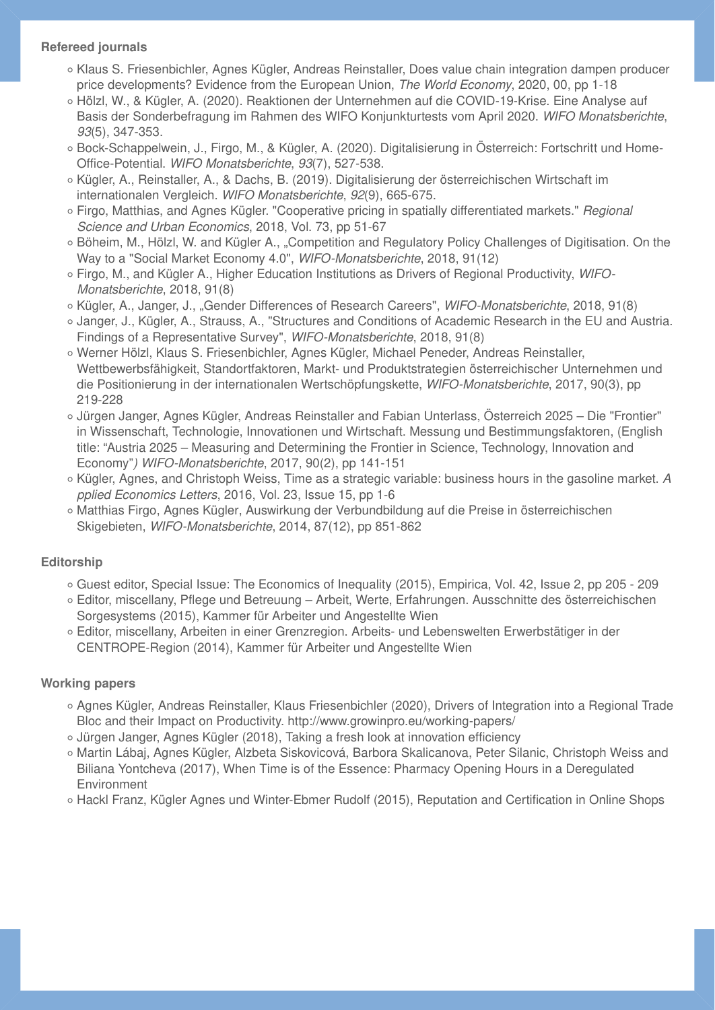## **Refereed journals**

- ∘ Klaus S. Friesenbichler, Agnes Kügler, Andreas Reinstaller, Does value chain integration dampen producer price developments? Evidence from the European Union, *The World Economy*, 2020, 00, pp 1-18
- Hölzl, W., & Kügler, A. (2020). Reaktionen der Unternehmen auf die COVID-19-Krise. Eine Analyse auf Basis der Sonderbefragung im Rahmen des WIFO Konjunkturtests vom April 2020. *WIFO Monatsberichte*, *93*(5), 347-353.
- Bock-Schappelwein, J., Firgo, M., & Kügler, A. (2020). Digitalisierung in Osterreich: Fortschritt und Home-Office-Potential. *WIFO Monatsberichte*, *93*(7), 527-538.
- ∘ Kügler, A., Reinstaller, A., & Dachs, B. (2019). Digitalisierung der österreichischen Wirtschaft im internationalen Vergleich. *WIFO Monatsberichte*, *92*(9), 665-675.
- Firgo, Matthias, and Agnes Kügler. "Cooperative pricing in spatially differentiated markets." *Regional Science and Urban Economics*, 2018, Vol. 73, pp 51-67
- Böheim, M., Hölzl, W. and Kügler A., "Competition and Regulatory Policy Challenges of Digitisation. On the Way to a "Social Market Economy 4.0", *WIFO-Monatsberichte*, 2018, 91(12)
- Firgo, M., and Kügler A., Higher Education Institutions as Drivers of Regional Productivity, *WIFO- Monatsberichte*, 2018, 91(8)
- ∘ Kügler, A., Janger, J., "Gender Differences of Research Careers", *WIFO-Monatsberichte*, 2018, 91(8)
- ∘ Janger, J., Kügler, A., Strauss, A., "Structures and Conditions of Academic Research in the EU and Austria. Findings of a Representative Survey", *WIFO-Monatsberichte*, 2018, 91(8)
- Werner Hölzl, Klaus S. Friesenbichler, Agnes Kügler, Michael Peneder, Andreas Reinstaller, Wettbewerbsfähigkeit, Standortfaktoren, Markt- und Produktstrategien österreichischer Unternehmen und die Positionierung in der internationalen Wertschöpfungskette, *WIFO-Monatsberichte*, 2017, 90(3), pp 219-228
- ∘ Jürgen Janger, Agnes Kügler, Andreas Reinstaller and Fabian Unterlass, Osterreich 2025 Die "Frontier" in Wissenschaft, Technologie, Innovationen und Wirtschaft. Messung und Bestimmungsfaktoren, (English title: "Austria 2025 – Measuring and Determining the Frontier in Science, Technology, Innovation and Economy"*) WIFO-Monatsberichte*, 2017, 90(2), pp 141-151
- ∘ Kügler, Agnes, and Christoph Weiss, Time as a strategic variable: business hours in the gasoline market. *A pplied Economics Letters*, 2016, Vol. 23, Issue 15, pp 1-6
- ∘ Matthias Firgo, Agnes Kügler, Auswirkung der Verbundbildung auf die Preise in österreichischen Skigebieten, *WIFO-Monatsberichte*, 2014, 87(12), pp 851-862

## **Editorship**

- ∘ Guest editor, Special Issue: The Economics of Inequality (2015), Empirica, Vol. 42, Issue 2, pp 205 209
- Editor, miscellany, Pflege und Betreuung Arbeit, Werte, Erfahrungen. Ausschnitte des österreichischen Sorgesystems (2015), Kammer für Arbeiter und Angestellte Wien
- Editor, miscellany, Arbeiten in einer Grenzregion. Arbeits- und Lebenswelten Erwerbstätiger in der CENTROPE-Region (2014), Kammer für Arbeiter und Angestellte Wien

## **Working papers**

- ∘ Agnes Kügler, Andreas Reinstaller, Klaus Friesenbichler (2020), Drivers of Integration into a Regional Trade Bloc and their Impact on Productivity. http://www.growinpro.eu/working-papers/
- Jürgen Janger, Agnes Kügler (2018), Taking a fresh look at innovation efficiency ◦
- ∘ Martin Lábaj, Agnes Kügler, Alzbeta Siskovicová, Barbora Skalicanova, Peter Silanic, Christoph Weiss and Biliana Yontcheva (2017), When Time is of the Essence: Pharmacy Opening Hours in a Deregulated Environment
- Hackl Franz, Kügler Agnes und Winter-Ebmer Rudolf (2015), Reputation and Certification in Online Shops